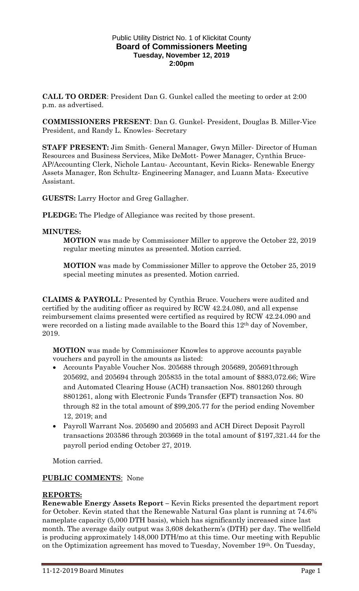#### Public Utility District No. 1 of Klickitat County **Board of Commissioners Meeting Tuesday, November 12, 2019 2:00pm**

**CALL TO ORDER**: President Dan G. Gunkel called the meeting to order at 2:00 p.m. as advertised.

**COMMISSIONERS PRESENT**: Dan G. Gunkel- President, Douglas B. Miller-Vice President, and Randy L. Knowles- Secretary

**STAFF PRESENT:** Jim Smith- General Manager, Gwyn Miller- Director of Human Resources and Business Services, Mike DeMott- Power Manager, Cynthia Bruce-AP/Accounting Clerk, Nichole Lantau- Accountant, Kevin Ricks- Renewable Energy Assets Manager, Ron Schultz- Engineering Manager, and Luann Mata- Executive Assistant.

**GUESTS:** Larry Hoctor and Greg Gallagher.

**PLEDGE:** The Pledge of Allegiance was recited by those present.

### **MINUTES:**

**MOTION** was made by Commissioner Miller to approve the October 22, 2019 regular meeting minutes as presented. Motion carried.

**MOTION** was made by Commissioner Miller to approve the October 25, 2019 special meeting minutes as presented. Motion carried.

**CLAIMS & PAYROLL**: Presented by Cynthia Bruce. Vouchers were audited and certified by the auditing officer as required by RCW 42.24.080, and all expense reimbursement claims presented were certified as required by RCW 42.24.090 and were recorded on a listing made available to the Board this 12<sup>th</sup> day of November, 2019.

**MOTION** was made by Commissioner Knowles to approve accounts payable vouchers and payroll in the amounts as listed:

- Accounts Payable Voucher Nos. 205688 through 205689, 205691through 205692, and 205694 through 205835 in the total amount of \$883,072.66; Wire and Automated Clearing House (ACH) transaction Nos. 8801260 through 8801261, along with Electronic Funds Transfer (EFT) transaction Nos. 80 through 82 in the total amount of \$99,205.77 for the period ending November 12, 2019; and
- Payroll Warrant Nos. 205690 and 205693 and ACH Direct Deposit Payroll transactions 203586 through 203669 in the total amount of \$197,321.44 for the payroll period ending October 27, 2019.

Motion carried.

# **PUBLIC COMMENTS**: None

# **REPORTS:**

**Renewable Energy Assets Report –** Kevin Ricks presented the department report for October. Kevin stated that the Renewable Natural Gas plant is running at 74.6% nameplate capacity (5,000 DTH basis), which has significantly increased since last month. The average daily output was 3,608 dekatherm's (DTH) per day. The wellfield is producing approximately 148,000 DTH/mo at this time. Our meeting with Republic on the Optimization agreement has moved to Tuesday, November 19th. On Tuesday,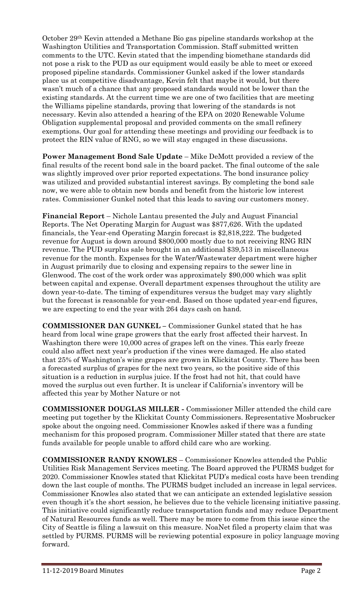October 29th Kevin attended a Methane Bio gas pipeline standards workshop at the Washington Utilities and Transportation Commission. Staff submitted written comments to the UTC. Kevin stated that the impending biomethane standards did not pose a risk to the PUD as our equipment would easily be able to meet or exceed proposed pipeline standards. Commissioner Gunkel asked if the lower standards place us at competitive disadvantage, Kevin felt that maybe it would, but there wasn't much of a chance that any proposed standards would not be lower than the existing standards. At the current time we are one of two facilities that are meeting the Williams pipeline standards, proving that lowering of the standards is not necessary. Kevin also attended a hearing of the EPA on 2020 Renewable Volume Obligation supplemental proposal and provided comments on the small refinery exemptions. Our goal for attending these meetings and providing our feedback is to protect the RIN value of RNG, so we will stay engaged in these discussions.

**Power Management Bond Sale Update** – Mike DeMott provided a review of the final results of the recent bond sale in the board packet. The final outcome of the sale was slightly improved over prior reported expectations. The bond insurance policy was utilized and provided substantial interest savings. By completing the bond sale now, we were able to obtain new bonds and benefit from the historic low interest rates. Commissioner Gunkel noted that this leads to saving our customers money.

**Financial Report** – Nichole Lantau presented the July and August Financial Reports. The Net Operating Margin for August was \$877,626. With the updated financials, the Year-end Operating Margin forecast is \$2,818,222. The budgeted revenue for August is down around \$800,000 mostly due to not receiving RNG RIN revenue. The PUD surplus sale brought in an additional \$39,513 in miscellaneous revenue for the month. Expenses for the Water/Wastewater department were higher in August primarily due to closing and expensing repairs to the sewer line in Glenwood. The cost of the work order was approximately \$90,000 which was split between capital and expense. Overall department expenses throughout the utility are down year-to-date. The timing of expenditures versus the budget may vary slightly but the forecast is reasonable for year-end. Based on those updated year-end figures, we are expecting to end the year with 264 days cash on hand.

**COMMISSIONER DAN GUNKEL –** Commissioner Gunkel stated that he has heard from local wine grape growers that the early frost affected their harvest. In Washington there were 10,000 acres of grapes left on the vines. This early freeze could also affect next year's production if the vines were damaged. He also stated that 25% of Washington's wine grapes are grown in Klickitat County. There has been a forecasted surplus of grapes for the next two years, so the positive side of this situation is a reduction in surplus juice. If the frost had not hit, that could have moved the surplus out even further. It is unclear if California's inventory will be affected this year by Mother Nature or not

**COMMISSIONER DOUGLAS MILLER -** Commissioner Miller attended the child care meeting put together by the Klickitat County Commissioners. Representative Mosbrucker spoke about the ongoing need. Commissioner Knowles asked if there was a funding mechanism for this proposed program. Commissioner Miller stated that there are state funds available for people unable to afford child care who are working.

**COMMISSIONER RANDY KNOWLES** – Commissioner Knowles attended the Public Utilities Risk Management Services meeting. The Board approved the PURMS budget for 2020. Commissioner Knowles stated that Klickitat PUD's medical costs have been trending down the last couple of months. The PURMS budget included an increase in legal services. Commissioner Knowles also stated that we can anticipate an extended legislative session even though it's the short session, he believes due to the vehicle licensing initiative passing. This initiative could significantly reduce transportation funds and may reduce Department of Natural Resources funds as well. There may be more to come from this issue since the City of Seattle is filing a lawsuit on this measure. NoaNet filed a property claim that was settled by PURMS. PURMS will be reviewing potential exposure in policy language moving forward.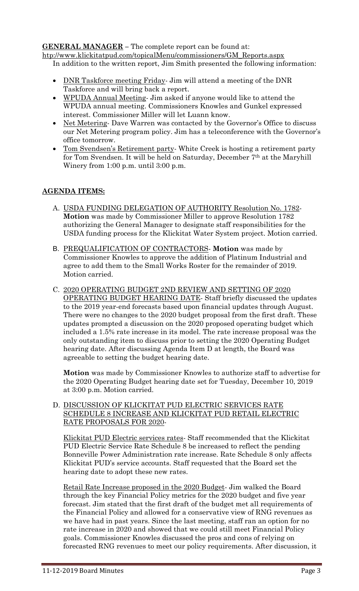### **GENERAL MANAGER –** The complete report can be found at:

[htp://www.klickitatpud.com/topicalMenu/commissioners/GM\\_Reports.aspx](http://www.klickitatpud.com/topicalMenu/commissioners/GM_Reports.aspx) In addition to the written report, Jim Smith presented the following information:

- DNR Taskforce meeting Friday- Jim will attend a meeting of the DNR Taskforce and will bring back a report.
- WPUDA Annual Meeting- Jim asked if anyone would like to attend the WPUDA annual meeting. Commissioners Knowles and Gunkel expressed interest. Commissioner Miller will let Luann know.
- Net Metering-Dave Warren was contacted by the Governor's Office to discuss our Net Metering program policy. Jim has a teleconference with the Governor's office tomorrow.
- Tom Svendsen's Retirement party- White Creek is hosting a retirement party for Tom Svendsen. It will be held on Saturday, December 7th at the Maryhill Winery from 1:00 p.m. until 3:00 p.m.

# **AGENDA ITEMS:**

- A. USDA FUNDING DELEGATION OF AUTHORITY Resolution No. 1782- **Motion** was made by Commissioner Miller to approve Resolution 1782 authorizing the General Manager to designate staff responsibilities for the USDA funding process for the Klickitat Water System project. Motion carried.
- B. PREQUALIFICATION OF CONTRACTORS- **Motion** was made by Commissioner Knowles to approve the addition of Platinum Industrial and agree to add them to the Small Works Roster for the remainder of 2019. Motion carried.
- C. 2020 OPERATING BUDGET 2ND REVIEW AND SETTING OF 2020 OPERATING BUDGET HEARING DATE- Staff briefly discussed the updates to the 2019 year-end forecasts based upon financial updates through August. There were no changes to the 2020 budget proposal from the first draft. These updates prompted a discussion on the 2020 proposed operating budget which included a 1.5% rate increase in its model. The rate increase proposal was the only outstanding item to discuss prior to setting the 2020 Operating Budget hearing date. After discussing Agenda Item D at length, the Board was agreeable to setting the budget hearing date.

**Motion** was made by Commissioner Knowles to authorize staff to advertise for the 2020 Operating Budget hearing date set for Tuesday, December 10, 2019 at 3:00 p.m. Motion carried.

D. DISCUSSION OF KLICKITAT PUD ELECTRIC SERVICES RATE SCHEDULE 8 INCREASE AND KLICKITAT PUD RETAIL ELECTRIC RATE PROPOSALS FOR 2020-

Klickitat PUD Electric services rates- Staff recommended that the Klickitat PUD Electric Service Rate Schedule 8 be increased to reflect the pending Bonneville Power Administration rate increase. Rate Schedule 8 only affects Klickitat PUD's service accounts. Staff requested that the Board set the hearing date to adopt these new rates.

Retail Rate Increase proposed in the 2020 Budget- Jim walked the Board through the key Financial Policy metrics for the 2020 budget and five year forecast. Jim stated that the first draft of the budget met all requirements of the Financial Policy and allowed for a conservative view of RNG revenues as we have had in past years. Since the last meeting, staff ran an option for no rate increase in 2020 and showed that we could still meet Financial Policy goals. Commissioner Knowles discussed the pros and cons of relying on forecasted RNG revenues to meet our policy requirements. After discussion, it